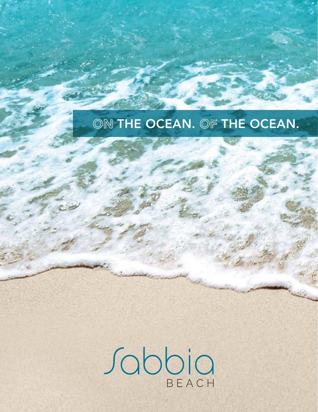# ON THE OCEAN. OF THE OCEAN.

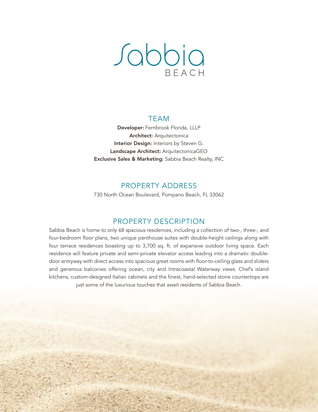# Sabbia

#### TEAM

Developer: Fernbrook Florida, LLLP Architect: Arquitectonica Interior Design: Interiors by Steven G. Landscape Architect: ArquitectonicaGEO Exclusive Sales & Marketing: Sabbia Beach Realty, INC

## PROPERTY ADDRESS

730 North Ocean Boulevard, Pompano Beach, FL 33062

## PROPERTY DESCRIPTION

Sabbia Beach is home to only 68 spacious residences, including a collection of two-, three-, and four-bedroom floor plans, two unique penthouse suites with double-height ceilings along with four terrace residences boasting up to 3,700 sq. ft. of expansive outdoor living space. Each residence will feature private and semi-private elevator access leading into a dramatic doubledoor entryway with direct access into spacious great rooms with floor-to-ceiling glass and sliders and generous balconies offering ocean, city and Intracoastal Waterway views. Chef's island kitchens, custom-designed Italian cabinets and the finest, hand-selected stone countertops are just some of the luxurious touches that await residents of Sabbia Beach.